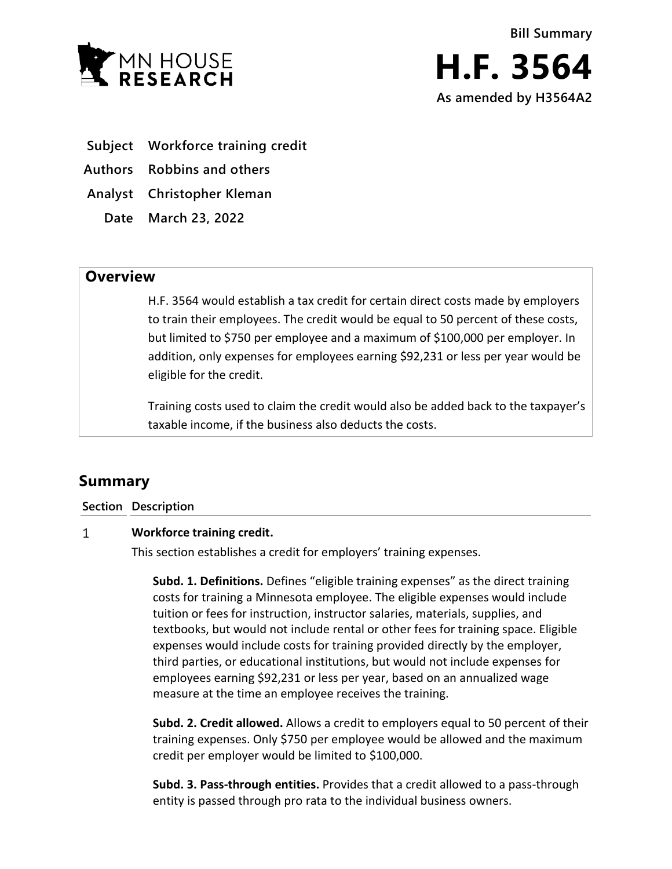

- **Subject Workforce training credit**
- **Authors Robbins and others**
- **Analyst Christopher Kleman**
	- **Date March 23, 2022**

## **Overview**

H.F. 3564 would establish a tax credit for certain direct costs made by employers to train their employees. The credit would be equal to 50 percent of these costs, but limited to \$750 per employee and a maximum of \$100,000 per employer. In addition, only expenses for employees earning \$92,231 or less per year would be eligible for the credit.

Training costs used to claim the credit would also be added back to the taxpayer's taxable income, if the business also deducts the costs.

# **Summary**

**Section Description**

#### $\mathbf{1}$ **Workforce training credit.**

This section establishes a credit for employers' training expenses.

**Subd. 1. Definitions.** Defines "eligible training expenses" as the direct training costs for training a Minnesota employee. The eligible expenses would include tuition or fees for instruction, instructor salaries, materials, supplies, and textbooks, but would not include rental or other fees for training space. Eligible expenses would include costs for training provided directly by the employer, third parties, or educational institutions, but would not include expenses for employees earning \$92,231 or less per year, based on an annualized wage measure at the time an employee receives the training.

**Subd. 2. Credit allowed.** Allows a credit to employers equal to 50 percent of their training expenses. Only \$750 per employee would be allowed and the maximum credit per employer would be limited to \$100,000.

**Subd. 3. Pass-through entities.** Provides that a credit allowed to a pass-through entity is passed through pro rata to the individual business owners.